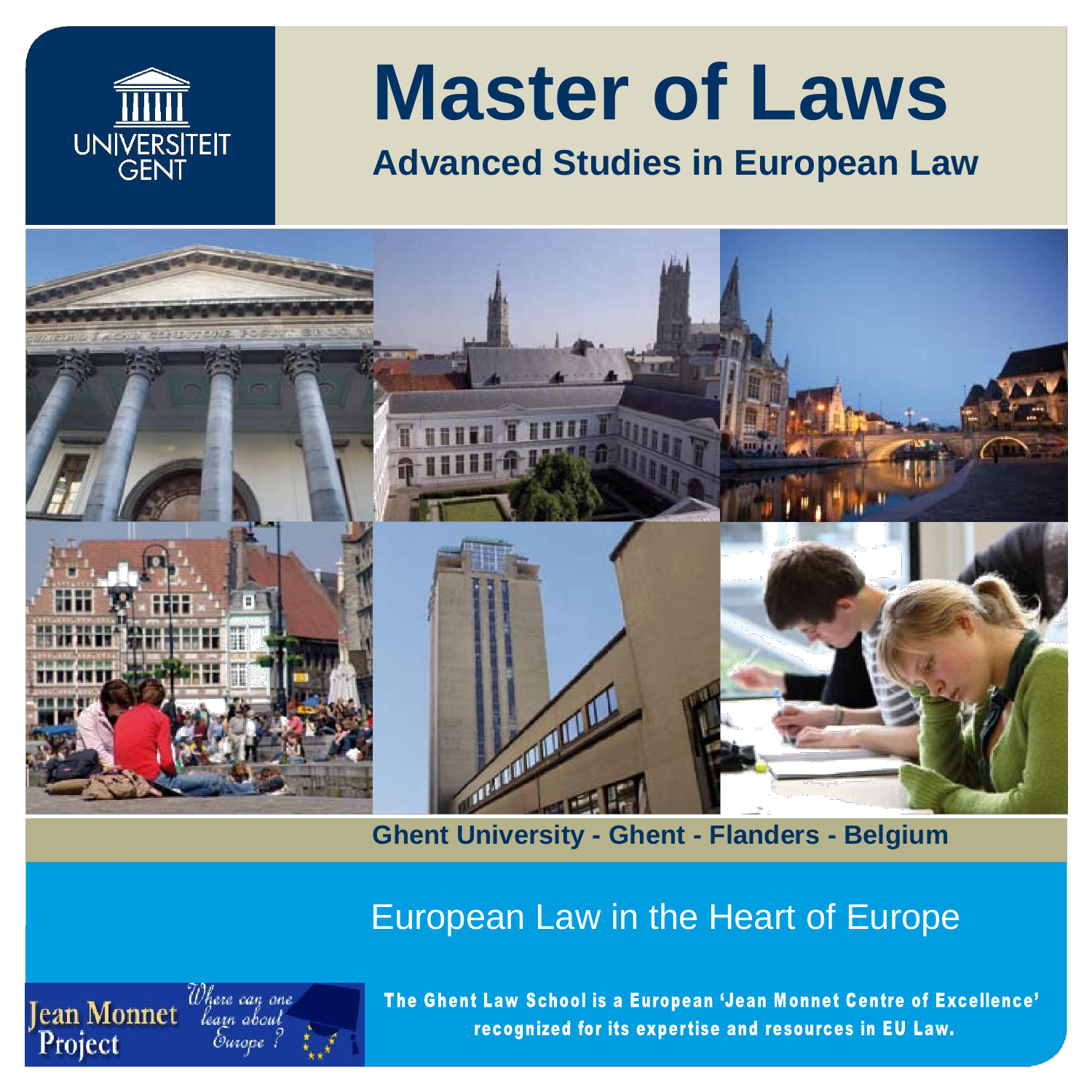

# **Master of Laws**

# **Advanced Studies in European Law**



**Ghent University - Ghent - Flanders - Belgium**

## European Law in the Heart of Europe



The Ghent Law School is a European 'Jean Monnet Centre of Excellence' recognized for its expertise and resources in EU Law.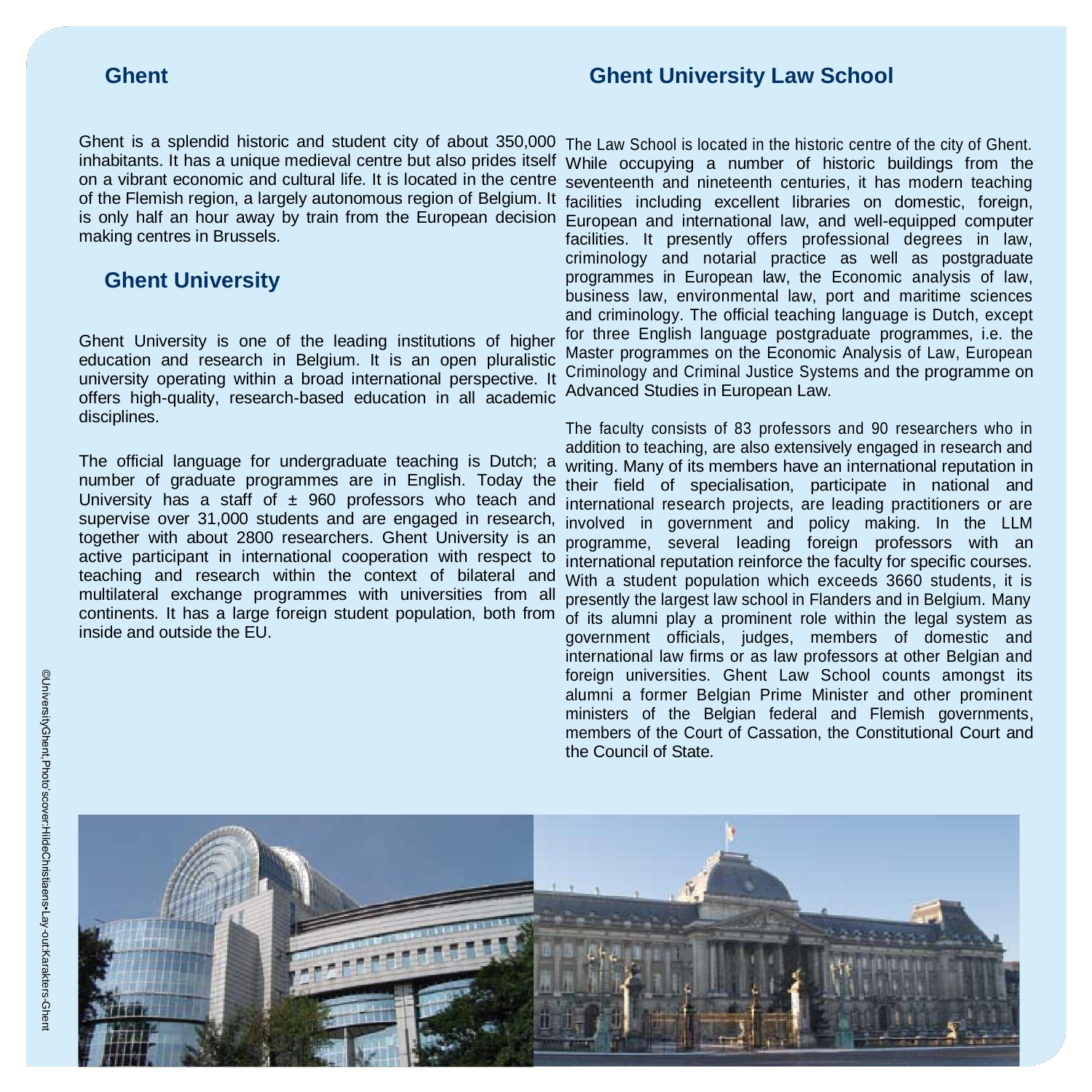### **Ghent Ghent Ghent** University Law School

Ghent is a splendid historic and student city of about 350,000 inhabitants. It has a unique medieval centre but also prides itself on a vibrant economic and cultural life. It is located in the centre of the Flemish region, a largely autonomous region of Belgium. It is only half an hour away by train from the European decision making centres in Brussels.

### **Ghent University**

Ghent University is one of the leading institutions of higher education and research in Belgium. It is an open pluralistic university operating within a broad international perspective. It offers high-quality, research-based education in all academic disciplines.

The official language for undergraduate teaching is Dutch; a number of graduate programmes are in English. Today the University has a staff of  $\pm$  960 professors who teach and supervise over 31,000 students and are engaged in research, together with about 2800 researchers. Ghent University is an active participant in international cooperation with respect to teaching and research within the context of bilateral and multilateral exchange programmes with universities from all continents. It has a large foreign student population, both from inside and outside the EU.

The Law School is located in the historic centre of the city of Ghent. While occupying a number of historic buildings from the seventeenth and nineteenth centuries, it has modern teaching facilities including excellent libraries on domestic, foreign, European and international law, and well-equipped computer facilities. It presently offers professional degrees in law, criminology and notarial practice as well as postgraduate programmes in European law, the Economic analysis of law, business law, environmental law, port and maritime sciences and criminology. The official teaching language is Dutch, except for three English language postgraduate programmes, i.e. the Master programmes on the Economic Analysis of Law, European Criminology and Criminal Justice Systems and the programme on Advanced Studies in European Law.

The faculty consists of 83 professors and 90 researchers who in addition to teaching, are also extensively engaged in research and writing. Many of its members have an international reputation in their field of specialisation, participate in national and international research projects, are leading practitioners or are involved in government and policy making. In the LLM programme, several leading foreign professors with an international reputation reinforce the faculty for specific courses. With a student population which exceeds 3660 students, it is presently the largest law school in Flanders and in Belgium. Many of its alumni play a prominent role within the legal system as government officials, judges, members of domestic and international law firms or as law professors at other Belgian and foreign universities. Ghent Law School counts amongst its alumni a former Belgian Prime Minister and other prominent ministers of the Belgian federal and Flemish governments, members of the Court of Cassation, the Constitutional Court and the Council of State.

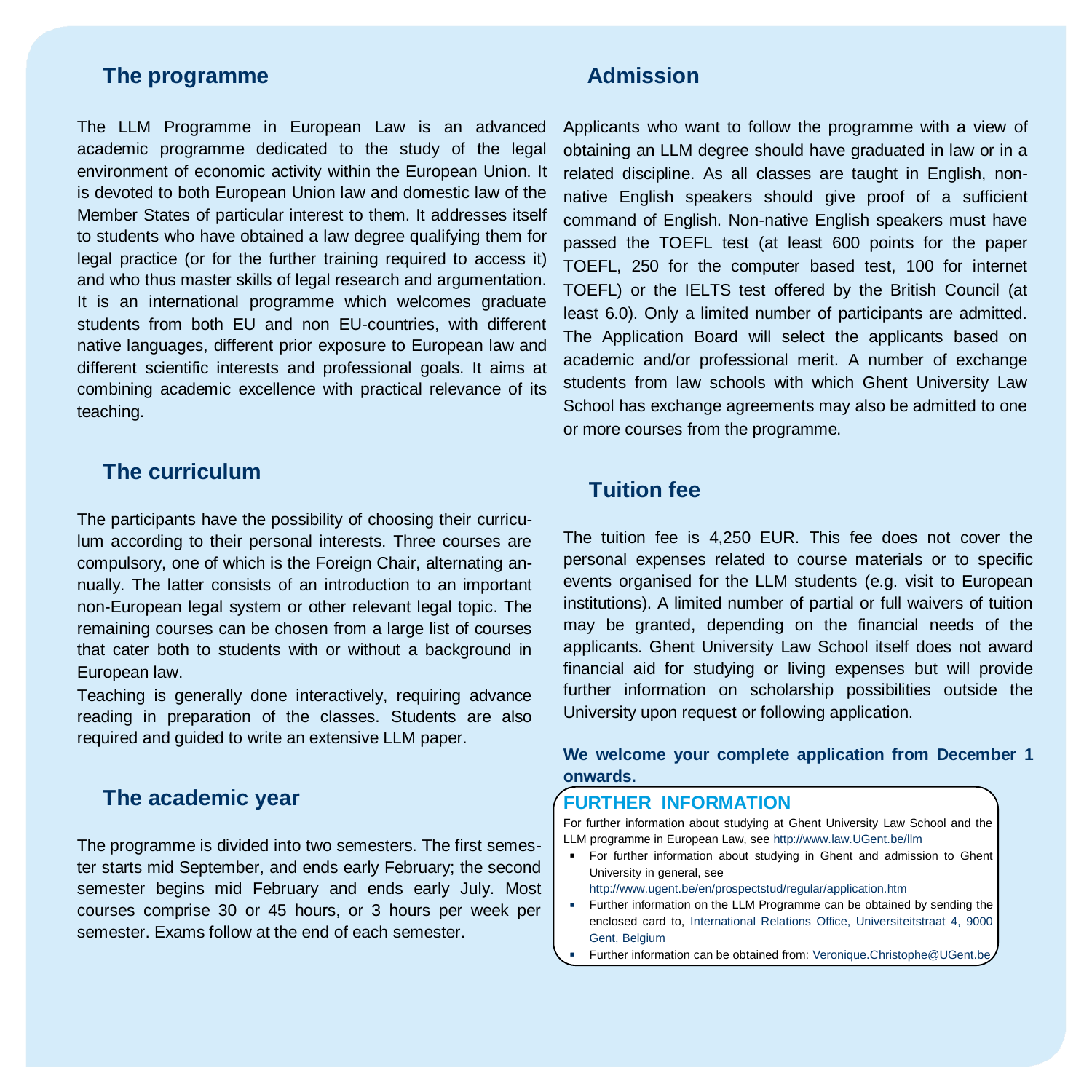### **The programme Admission**

The LLM Programme in European Law is an advanced academic programme dedicated to the study of the legal environment of economic activity within the European Union. It is devoted to both European Union law and domestic law of the Member States of particular interest to them. It addresses itself to students who have obtained a law degree qualifying them for legal practice (or for the further training required to access it) and who thus master skills of legal research and argumentation. It is an international programme which welcomes graduate students from both EU and non EU-countries, with different native languages, different prior exposure to European law and different scientific interests and professional goals. It aims at combining academic excellence with practical relevance of its teaching.

### **The curriculum**

The participants have the possibility of choosing their curriculum according to their personal interests. Three courses are compulsory, one of which is the Foreign Chair, alternating annually. The latter consists of an introduction to an important non-European legal system or other relevant legal topic. The remaining courses can be chosen from a large list of courses that cater both to students with or without a background in European law.

Teaching is generally done interactively, requiring advance reading in preparation of the classes. Students are also required and guided to write an extensive LLM paper.

### **The academic year**

The programme is divided into two semesters. The first semester starts mid September, and ends early February; the second semester begins mid February and ends early July. Most courses comprise 30 or 45 hours, or 3 hours per week per semester. Exams follow at the end of each semester.

Applicants who want to follow the programme with a view of obtaining an LLM degree should have graduated in law or in a related discipline. As all classes are taught in English, nonnative English speakers should give proof of a sufficient command of English. Non-native English speakers must have passed the TOEFL test (at least 600 points for the paper TOEFL, 250 for the computer based test, 100 for internet TOEFL) or the IELTS test offered by the British Council (at least 6.0). Only a limited number of participants are admitted. The Application Board will select the applicants based on academic and/or professional merit. A number of exchange students from law schools with which Ghent University Law School has exchange agreements may also be admitted to one or more courses from the programme.

### **Tuition fee**

The tuition fee is 4,250 EUR. This fee does not cover the personal expenses related to course materials or to specific events organised for the LLM students (e.g. visit to European institutions). A limited number of partial or full waivers of tuition may be granted, depending on the financial needs of the applicants. Ghent University Law School itself does not award financial aid for studying or living expenses but will provide further information on scholarship possibilities outside the University upon request or following application.

### **We welcome your complete application from December 1 onwards.**

### **FURTHER INFORMATION**

For further information about studying at Ghent University Law School and the LLM programme in European Law, see http://www.law.UGent.be/llm

**For further information about studying in Ghent and admission to Ghent** University in general, see

http://www.ugent.be/en/prospectstud/regular/application.htm

- **Further information on the LLM Programme can be obtained by sending the** enclosed card to, International Relations Office, Universiteitstraat 4, 9000 Gent, Belgium
- **Further information can be obtained from: Veronique.Christophe@UGent.be**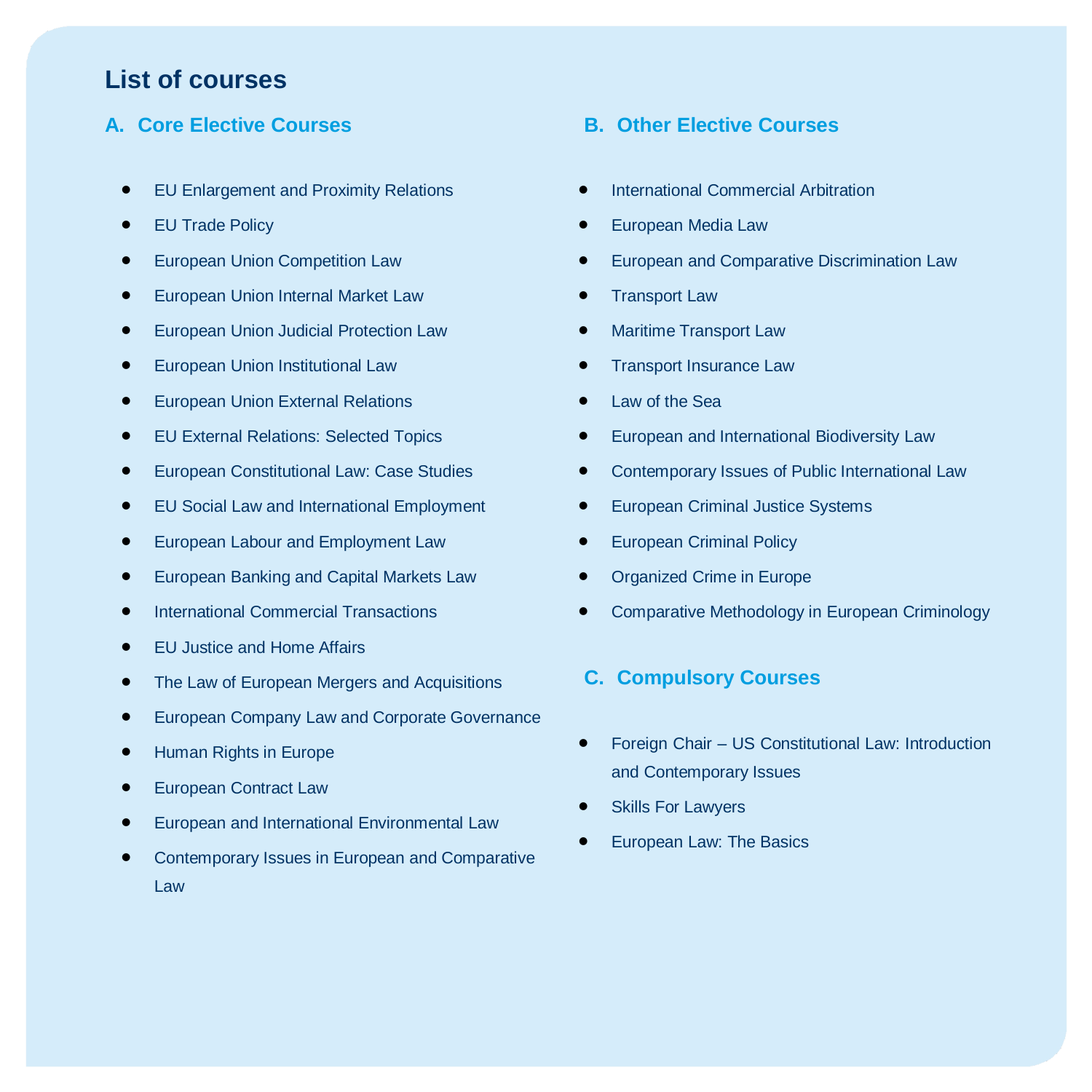### **List of courses**

### **A. Core Elective Courses B. Other Elective Courses**

- **EU Enlargement and Proximity Relations**
- EU Trade Policy
- European Union Competition Law
- European Union Internal Market Law
- European Union Judicial Protection Law
- European Union Institutional Law
- European Union External Relations
- EU External Relations: Selected Topics
- European Constitutional Law: Case Studies
- EU Social Law and International Employment
- European Labour and Employment Law
- European Banking and Capital Markets Law
- International Commercial Transactions
- EU Justice and Home Affairs
- The Law of European Mergers and Acquisitions
- European Company Law and Corporate Governance
- Human Rights in Europe
- European Contract Law
- European and International Environmental Law
- Contemporary Issues in European and Comparative Law

- **•** International Commercial Arbitration
- European Media Law
- **•** European and Comparative Discrimination Law
- Transport Law
- **•** Maritime Transport Law
- Transport Insurance Law
- Law of the Sea
- **•** European and International Biodiversity Law
- Contemporary Issues of Public International Law
- **•** European Criminal Justice Systems
- European Criminal Policy
- Organized Crime in Europe
- Comparative Methodology in European Criminology

### **C. Compulsory Courses**

- Foreign Chair US Constitutional Law: Introduction and Contemporary Issues
- Skills For Lawyers
- European Law: The Basics